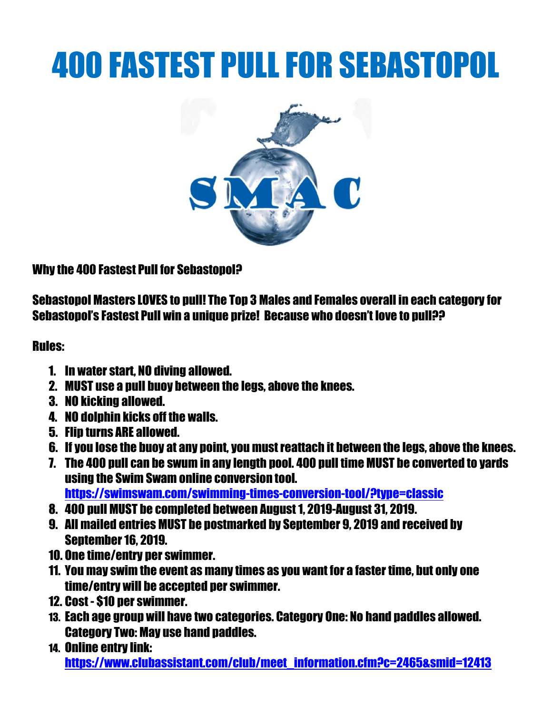# 400 FASTEST PULL FOR SEBASTOPOL



Why the 400 Fastest Pull for Sebastopol?

Sebastopol Masters LOVES to pull! The Top 3 Males and Females overall in each category for Sebastopol's Fastest Pull win a unique prize! Because who doesn't love to pull??

Rules:

- 1. In water start, NO diving allowed.
- 2. MUST use a pull buoy between the legs, above the knees.
- 3. NO kicking allowed.
- 4. NO dolphin kicks off the walls.
- 5. Flip turns ARE allowed.
- 6. If you lose the buoy at any point, you must reattach it between the legs, above the knees.
- 7. The 400 pull can be swum in any length pool. 400 pull time MUST be converted to yards using the Swim Swam online conversion tool. <https://swimswam.com/swimming-times-conversion-tool/?type=classic>
- 8. 400 pull MUST be completed between August 1, 2019-August 31, 2019.
- 9. All mailed entries MUST be postmarked by September 9, 2019 and received by September16, 2019.
- 10. One time/entry per swimmer.
- 11. You may swim the event as many times as you want for a faster time, but only one time/entry will be accepted per swimmer.
- 12. Cost \$10 per swimmer.
- 13. Each age group will have two categories. Category One: No hand paddles allowed. Category Two: May use hand paddles.
- 14. Online entry link: [https://www.clubassistant.com/club/meet\\_information.cfm?c=2465&smid=12413](https://www.clubassistant.com/club/meet_information.cfm?c=2465&smid=12413)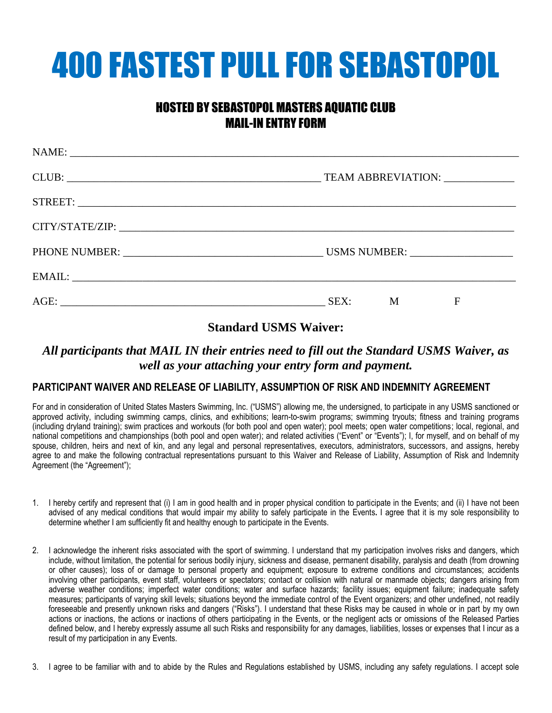# 400 FASTEST PULLFOR SEBASTOPOL

## HOSTED BY SEBASTOPOL MASTERS AQUATIC CLUB MAIL-IN ENTRY FORM

| TEAM ABBREVIATION: ____________ |  |  |  |  |
|---------------------------------|--|--|--|--|
|                                 |  |  |  |  |
|                                 |  |  |  |  |
|                                 |  |  |  |  |
|                                 |  |  |  |  |
| SEX:<br>M<br>F                  |  |  |  |  |

### **Standard USMS Waiver:**

### *All participants that MAIL IN their entries need to fill out the Standard USMS Waiver, as well as your attaching your entry form and payment.*

#### **PARTICIPANT WAIVER AND RELEASE OF LIABILITY, ASSUMPTION OF RISK AND INDEMNITY AGREEMENT**

For and in consideration of United States Masters Swimming, Inc. ("USMS") allowing me, the undersigned, to participate in any USMS sanctioned or approved activity, including swimming camps, clinics, and exhibitions; learn-to-swim programs; swimming tryouts; fitness and training programs (including dryland training); swim practices and workouts (for both pool and open water); pool meets; open water competitions; local, regional, and national competitions and championships (both pool and open water); and related activities ("Event" or "Events"); I, for myself, and on behalf of my spouse, children, heirs and next of kin, and any legal and personal representatives, executors, administrators, successors, and assigns, hereby agree to and make the following contractual representations pursuant to this Waiver and Release of Liability, Assumption of Risk and Indemnity Agreement (the "Agreement");

- 1. I hereby certify and represent that (i) I am in good health and in proper physical condition to participate in the Events; and (ii) I have not been advised of any medical conditions that would impair my ability to safely participate in the Events**.** I agree that it is my sole responsibility to determine whether I am sufficiently fit and healthy enough to participate in the Events.
- 2. I acknowledge the inherent risks associated with the sport of swimming. I understand that my participation involves risks and dangers, which include, without limitation, the potential for serious bodily injury, sickness and disease, permanent disability, paralysis and death (from drowning or other causes); loss of or damage to personal property and equipment; exposure to extreme conditions and circumstances; accidents involving other participants, event staff, volunteers or spectators; contact or collision with natural or manmade objects; dangers arising from adverse weather conditions; imperfect water conditions; water and surface hazards; facility issues; equipment failure; inadequate safety measures; participants of varying skill levels; situations beyond the immediate control of the Event organizers; and other undefined, not readily foreseeable and presently unknown risks and dangers ("Risks"). I understand that these Risks may be caused in whole or in part by my own actions or inactions, the actions or inactions of others participating in the Events, or the negligent acts or omissions of the Released Parties defined below, and I hereby expressly assume all such Risks and responsibility for any damages, liabilities, losses or expenses that I incur as a result of my participation in any Events.
- 3. I agree to be familiar with and to abide by the Rules and Regulations established by USMS, including any safety regulations. I accept sole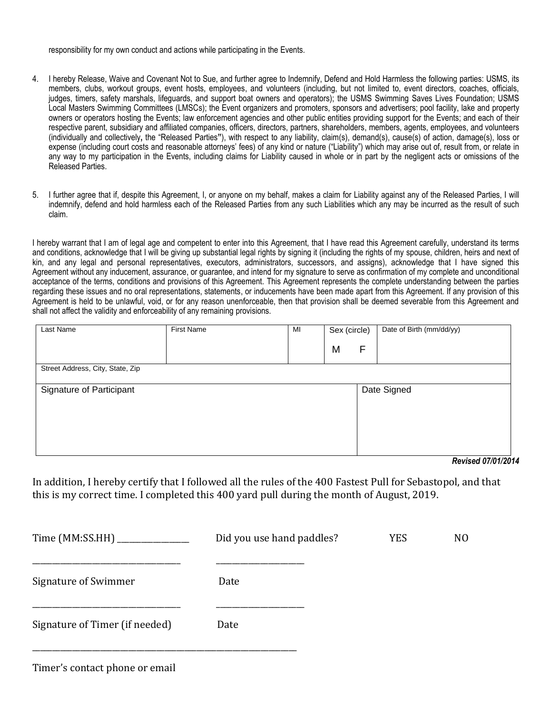responsibility for my own conduct and actions while participating in the Events.

- 4. I hereby Release, Waive and Covenant Not to Sue, and further agree to Indemnify, Defend and Hold Harmless the following parties: USMS, its members, clubs, workout groups, event hosts, employees, and volunteers (including, but not limited to, event directors, coaches, officials, judges, timers, safety marshals, lifeguards, and support boat owners and operators); the USMS Swimming Saves Lives Foundation; USMS Local Masters Swimming Committees (LMSCs); the Event organizers and promoters, sponsors and advertisers; pool facility, lake and property owners or operators hosting the Events; law enforcement agencies and other public entities providing support for the Events; and each of their respective parent, subsidiary and affiliated companies, officers, directors, partners, shareholders, members, agents, employees, and volunteers (individually and collectively**,** the "Released Parties**"**), with respect to any liability, claim(s), demand(s), cause(s) of action, damage(s), loss or expense (including court costs and reasonable attorneys' fees) of any kind or nature ("Liability") which may arise out of, result from, or relate in any way to my participation in the Events, including claims for Liability caused in whole or in part by the negligent acts or omissions of the Released Parties.
- 5. I further agree that if, despite this Agreement, I, or anyone on my behalf, makes a claim for Liability against any of the Released Parties, I will indemnify, defend and hold harmless each of the Released Parties from any such Liabilities which any may be incurred as the result of such claim.

I hereby warrant that I am of legal age and competent to enter into this Agreement, that I have read this Agreement carefully, understand its terms and conditions, acknowledge that I will be giving up substantial legal rights by signing it (including the rights of my spouse, children, heirs and next of kin, and any legal and personal representatives, executors, administrators, successors, and assigns), acknowledge that I have signed this Agreement without any inducement, assurance, or guarantee, and intend for my signature to serve as confirmation of my complete and unconditional acceptance of the terms, conditions and provisions of this Agreement. This Agreement represents the complete understanding between the parties regarding these issues and no oral representations, statements, or inducements have been made apart from this Agreement. If any provision of this Agreement is held to be unlawful, void, or for any reason unenforceable, then that provision shall be deemed severable from this Agreement and shall not affect the validity and enforceability of any remaining provisions.

| Last Name                        | <b>First Name</b> | MI | Sex (circle) |   | Date of Birth (mm/dd/yy) |
|----------------------------------|-------------------|----|--------------|---|--------------------------|
|                                  |                   |    | M            | F |                          |
| Street Address, City, State, Zip |                   |    |              |   |                          |
| Signature of Participant         |                   |    |              |   | Date Signed              |
|                                  |                   |    |              |   |                          |
|                                  |                   |    |              |   | - -<br>1.0710100         |

*Revised 07/01/2014*

In addition, I hereby certify that I followed all the rules of the 400 Fastest Pull for Sebastopol, and that this is my correct time. I completed this 400 yard pull during the month of August, 2019.

| Time (MM:SS.HH) ____________   | Did you use hand paddles? | <b>YES</b> | N <sub>0</sub> |
|--------------------------------|---------------------------|------------|----------------|
| Signature of Swimmer           | Date                      |            |                |
| Signature of Timer (if needed) | Date                      |            |                |

Timer's contact phone or email